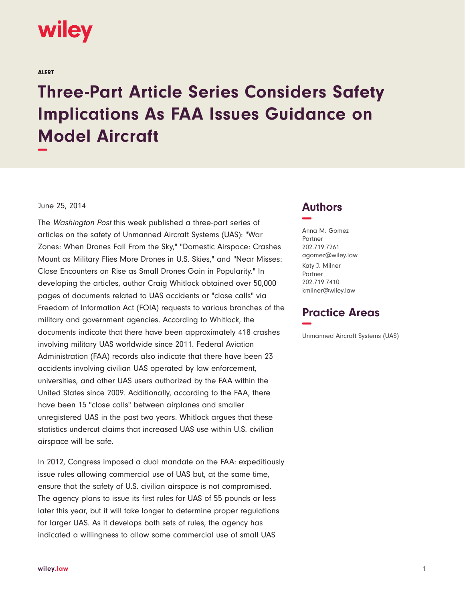

ALERT

## **Three-Part Article Series Considers Safety Implications As FAA Issues Guidance on Model Aircraft −**

## June 25, 2014

The Washington Post this week published a three-part series of articles on the safety of Unmanned Aircraft Systems (UAS): "War Zones: When Drones Fall From the Sky," "Domestic Airspace: Crashes Mount as Military Flies More Drones in U.S. Skies," and "Near Misses: Close Encounters on Rise as Small Drones Gain in Popularity." In developing the articles, author Craig Whitlock obtained over 50,000 pages of documents related to UAS accidents or "close calls" via Freedom of Information Act (FOIA) requests to various branches of the military and government agencies. According to Whitlock, the documents indicate that there have been approximately 418 crashes involving military UAS worldwide since 2011. Federal Aviation Administration (FAA) records also indicate that there have been 23 accidents involving civilian UAS operated by law enforcement, universities, and other UAS users authorized by the FAA within the United States since 2009. Additionally, according to the FAA, there have been 15 "close calls" between airplanes and smaller unregistered UAS in the past two years. Whitlock argues that these statistics undercut claims that increased UAS use within U.S. civilian airspace will be safe.

In 2012, Congress imposed a dual mandate on the FAA: expeditiously issue rules allowing commercial use of UAS but, at the same time, ensure that the safety of U.S. civilian airspace is not compromised. The agency plans to issue its first rules for UAS of 55 pounds or less later this year, but it will take longer to determine proper regulations for larger UAS. As it develops both sets of rules, the agency has indicated a willingness to allow some commercial use of small UAS

## **Authors −**

Anna M. Gomez Partner 202.719.7261 agomez@wiley.law Katy J. Milner Partner 202.719.7410 kmilner@wiley.law

## **Practice Areas −**

Unmanned Aircraft Systems (UAS)